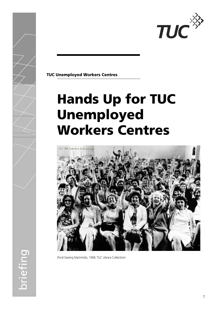

**TUC Unemployed Workers Centres** 

# **Hands Up for TUC** Unemployed **Workers Centres**



(Ford Sewing Machinists, 1968. TUC Library Collection)

oriefing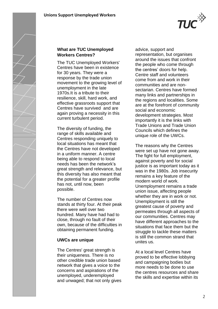

## **What are TUC Unemployed Workers Centres?**

The TUC Unemployed Workers' Centres have been in existence for 30 years. They were a response by the trade union movement to the growing level of unemployment in the late 1970s.It is a tribute to their resilience, skill, hard work, and effective grassroots support that Centres have survived and are again proving a necessity in this current turbulent period.

The diversity of funding, the range of skills available and Centres responding uniquely to local situations has meant that the Centres have not developed in a uniform manner. A centre being able to respond to local needs has been the network's great strength and relevance, but this diversity has also meant that the potential for a greater profile has not, until now, been possible.

The number of Centres now stands at thirty four. At their peak there were well over two hundred. Many have had had to close, through no fault of their own, because of the difficulties in obtaining permanent funding.

## **UWCs are unique**

The Centres' great strength is their uniqueness. There is no other credible trade union based network that gives a voice to the concerns and aspirations of the unemployed, underemployed and unwaged; that not only gives advice, support and representation, but organises around the issues that confront the people who come through the centres' doors for help. Centre staff and volunteers come from and work in their communities and are nonsectarian. Centres have formed many links and partnerships in the regions and localities. Some are at the forefront of community social and economic development strategies. Most importantly it is the links with Trade Unions and Trade Union Councils which defines the unique role of the UWCs.

The reasons why the Centres were set up have not gone away. The fight for full employment, against poverty and for social justice is as important today as it was in the 1980s. Job insecurity remains a key feature of the modern world of work. Unemployment remains a trade union issue, affecting people whether they are in work or not. Unemployment is still the greatest cause of poverty and permeates through all aspects of our communities. Centres may have different approaches to the situations that face them but the struggle to tackle these matters is still the common strand that unites us.

At a local level Centres have proved to be effective lobbying and campaigning bodies but more needs to be done to use the centres resources and share the skills and expertise within its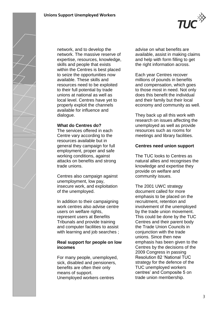

network, and to develop the network. The massive reserve of expertise, resources, knowledge, skills and people that exists within the Centres is best placed to seize the opportunities now available. These skills and resources need to be exploited to their full potential by trade unions at national as well as local level. Centres have yet to properly exploit the channels available for influence and dialogue.

#### **What do Centres do?**

The services offered in each Centre vary according to the resources available but in general they campaign for full employment, proper and safe working conditions, against attacks on benefits and strong trade unions.

Centres also campaign against unemployment, low pay, insecure work, and exploitation of the unemployed.

In addition to their campaigning work centres also advise centre users on welfare rights, represent users at Benefits Tribunals and provide training and computer facilities to assist with learning and job searches ;

## **Real support for people on low incomes**

For many people, unemployed, sick, disabled and pensioners, benefits are often their only means of support. Unemployed workers centres

advise on what benefits are available, assist in making claims and help with form filling to get the right information across.

**TUC** 

Each year Centres recover millions of pounds in benefits and compensation, which goes to those most in need. Not only does this benefit the individual and their family but their local economy and community as well.

They back up all this work with research on issues affecting the unemployed as well as provide resources such as rooms for meetings and library facilities.

## **Centres need union support**

The TUC looks to Centres as natural allies and recognises the knowledge and expertise they provide on welfare and community issues.

The 2001 UWC strategy document called for more emphasis to be placed on the recruitment, retention and involvement of the unemployed by the trade union movement. This could be done by the TUC Centres and their parent body the Trade Union Councils in conjunction with the trade unions. Since then new emphasis has been given to the Centres by the decisions of the 2009 Congress in passing Resolution 82 'National TUC strategy for the defence of the TUC unemployed workers centres' and Composite 5 on trade union membership.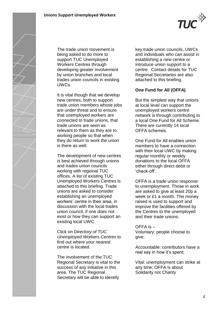

The trade union movement is being asked to do more to support TUC Unemployed Workers Centres through developing greater involvement by union branches and local trades union councils in existing UWCs.

It is vital though that we develop new centres, both to support trade union members whose jobs are under threat and to ensure that unemployed workers are connected to trade unions, that trade unions are seen as relevant to them as they are to working people so that when they do return to work the union is there as well.

The development of new centres is best achieved through unions and trades union councils working with regional TUC offices. A list of existing TUC Unemployed Workers Centres is attached to this briefing. Trade unions are asked to consider establishing an unemployed workers' centre in their area, in discussion with the local trades union council, if one does not exist or how they can support an existing local UWC.

Click on *Directory of TUC Unemployed Workers Centres* to find out where your nearest centre is located.

The involvement of the TUC Regional Secretary is vital to the success of any initiative in this area. The TUC Regional Secretary will be able to identify

key trade union councils, UWCs and individuals who can assist in establishing a new centre or introduce union support to a centre. Contact details for TUC Regional Secretaries are also attached to this briefing.

# **One Fund for All (OFFA)**

But the simplest way that unions at local level can support the unemployed workers centre network is through contributing to a local One Fund for All Scheme. There are currently 14 local OFFA schemes.

One Fund for All enables union members to have a connection with their local UWC by making regular monthly or weekly donations to the local OFFA either through direct debit or 'check-off'.

OFFA is a trade union response to unemployment. Those in work are asked to give at least 20p a week or £1 a month. The money raised is used to support and improve the facilities offered by the Centres to the unemployed and their trade unions.

OFFA is – Voluntary: people choose to give;

Accountable: contributors have a real say in how it's spent;

Vital: unemployment can strike at any time; OFFA is about Solidarity not Charity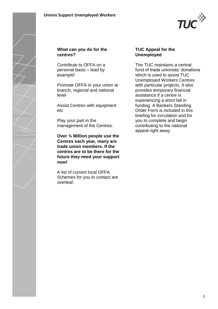

#### **What can you do for the centres?**

Contribute to OFFA on a personal basis – lead by example!

Promote OFFA in your union at branch, regional and national level

Assist Centres with equipment etc

Play your part in the management of the Centres.

**Over ¾ Million people use the Centres each year, many are trade union members. If the centres are to be there for the future they need your support now!**

A list of current local OFFA Schemes for you to contact are overleaf.

#### **TUC Appeal for the Unemployed**

The TUC maintains a central fund of trade unionists' donations which is used to assist TUC Unemployed Workers Centres with particular projects. It also provides temporary financial assistance if a centre is experiencing a short fall in funding. A Bankers Standing Order Form is included in this briefing for circulation and for you to complete and begin contributing to the national appeal right away.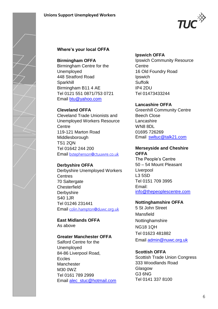

## **Where's your local OFFA**

#### **Birmingham OFFA**

Birmingham Centre for the Unemployed 448 Stratford Road Sparkhill Birmingham B11 4 AE Tel 0121 551 0871/753 0721 Email [btu@yahoo.com](mailto:btu@yahoo.com)

#### **Cleveland OFFA**

Cleveland Trade Unionists and Unemployed Workers Resource **Centre** 119-121 Marton Road Middlesborough TS1 2QN Tel 01642 244 200 Emailbstephenson@ctuuwre.co.uk

#### **Derbyshire OFFA**

Derbyshire Unemployed Workers **Centres** 70 Saltergate **Chesterfield Derbyshire** S40 1JR Tel 01246 231441 Email colin.hampton@duwc.org.uk

**East Midlands OFFA** As above

## **Greater Manchester OFFA**

Salford Centre for the Unemployed 84-86 Liverpool Road, **Eccles** Manchester M30 0WZ Tel 0161 789 2999 Email [alec\\_stuc@hotmail.com](mailto:alec_stuc@hotmail.com)

#### **Ipswich OFFA**

Ipswich Community Resource **Centre** 16 Old Foundry Road Ipswich Suffolk IP4 2DU Tel 01473433244

## **Lancashire OFFA**

Greenhill Community Centre Beech Close Lancashire WN8 8DL 01695 726269 Email [swltuc@talk21.com](mailto:swltuc@talk21.com)

#### **Merseyside and Cheshire OFFA**

The People's Centre 50 – 54 Mount Pleasant **Liverpool** L3 5SD Tel 0151 709 3995 Email: [info@thepeoplescentre.com](mailto:info@thepeoplescentre.com)

## **Nottinghamshire OFFA**

5 St John Street Mansfield Nottinghamshire NG18 1QH Tel 01623 481882 Email [admin@nuwc.org.uk](mailto:admin@nuwc.org.uk)

## **Scottish OFFA**

Scottish Trade Union Congress 333 Woodlands Road Glasgow G3 6NG Tel 0141 337 8100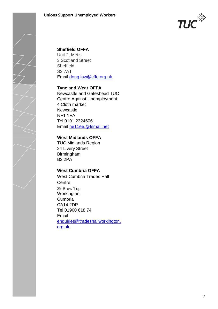

## **Sheffield OFFA**

Unit 2, Metis 3 Scotland Street Sheffield S3 7AT Email [doug.low@cffe.org.uk](mailto:doug.low@cffe.org.uk)

#### **Tyne and Wear OFFA**

Newcastle and Gateshead TUC Centre Against Unemployment 4 Cloth market Newcastle NE1 1EA Tel 0191 2324606 Email [ne11ee.@fsmail.net](mailto:ne11ee.@fsmail.net)

## **West Midlands OFFA**

TUC Midlands Region 24 Livery Street Birmingham B3 2PA

## **West Cumbria OFFA**

West Cumbria Trades Hall **Centre** 39 Brow Top Workington Cumbria CA14 2DP Tel 01900 618 74 Email [enquiries@tradeshallworkington.](mailto:enquiries@tradeshallworkington.org.uk) [org.uk](mailto:enquiries@tradeshallworkington.org.uk)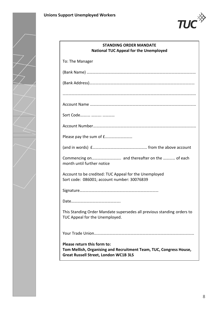

| <b>STANDING ORDER MANDATE</b><br><b>National TUC Appeal for the Unemployed</b> |                                                                                                                                                   |
|--------------------------------------------------------------------------------|---------------------------------------------------------------------------------------------------------------------------------------------------|
|                                                                                | To: The Manager                                                                                                                                   |
|                                                                                |                                                                                                                                                   |
|                                                                                |                                                                                                                                                   |
|                                                                                |                                                                                                                                                   |
|                                                                                | Sort Code                                                                                                                                         |
|                                                                                |                                                                                                                                                   |
|                                                                                | Please pay the sum of f                                                                                                                           |
|                                                                                |                                                                                                                                                   |
|                                                                                | month until further notice                                                                                                                        |
|                                                                                | Account to be credited: TUC Appeal for the Unemployed<br>Sort code: 086001; account number: 30076839                                              |
|                                                                                |                                                                                                                                                   |
|                                                                                |                                                                                                                                                   |
|                                                                                | This Standing Order Mandate supersedes all previous standing orders to<br>TUC Appeal for the Unemployed.                                          |
|                                                                                |                                                                                                                                                   |
|                                                                                | Please return this form to:<br>Tom Mellish, Organising and Recruitment Team, TUC, Congress House,<br><b>Great Russell Street, London WC1B 3LS</b> |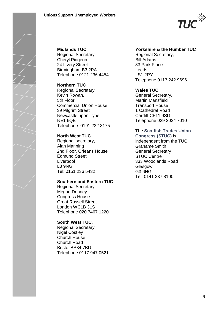

## **Midlands TUC** Regional Secretary, Cheryl Pidgeon

24 Livery Street Birmingham B3 2PA Telephone 0121 236 4454

## **Northern TUC**

Regional Secretary, Kevin Rowan, 5th Floor Commercial Union House 39 Pilgrim Street Newcastle upon Tyne NE1 6QE Telephone 0191 232 3175

# **North West TUC**

Regional secretary, Alan Manning 2nd Floor, Orleans House Edmund Street **Liverpool** L3 9NG Tel: 0151 236 5432

# **Southern and Eastern TUC**

Regional Secretary, Megan Dobney Congress House Great Russell Street London WC1B 3LS Telephone 020 7467 1220

## **South West TUC,**

Regional Secretary, Nigel Costley Church House Church Road Bristol BS34 7BD Telephone 0117 947 0521

# **Yorkshire & the Humber TUC**

Regional Secretary, Bill Adams 33 Park Place Leeds LS1 2RY Telephone 0113 242 9696

# **Wales TUC**

General Secretary, Martin Mansfield Transport House 1 Cathedral Road Cardiff CF11 9SD Telephone 029 2034 7010

#### The **Scottish Trades Union Congress (STUC)** is

independent from the TUC, Grahame Smith, General Secretary STUC Centre 333 Woodlands Road Glasgow G3 6NG Tel: 0141 337 8100